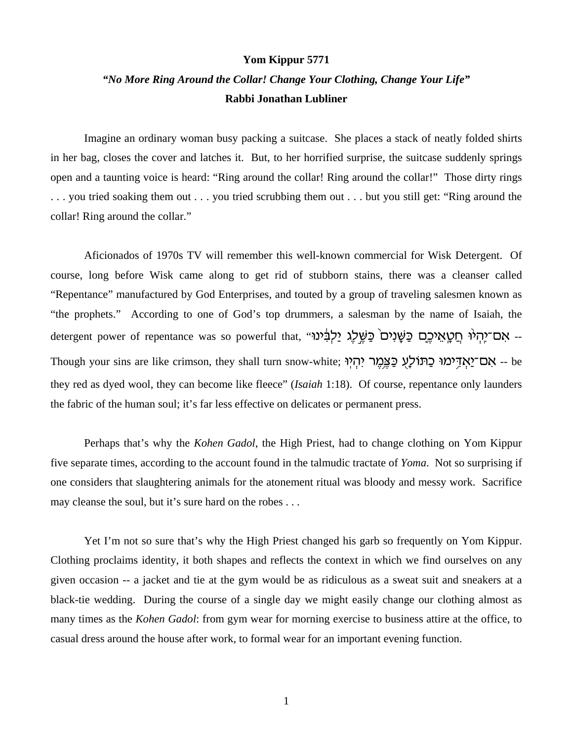## **Yom Kippur 5771**

## *"No More Ring Around the Collar! Change Your Clothing, Change Your Life"* **Rabbi Jonathan Lubliner**

Imagine an ordinary woman busy packing a suitcase. She places a stack of neatly folded shirts in her bag, closes the cover and latches it. But, to her horrified surprise, the suitcase suddenly springs open and a taunting voice is heard: "Ring around the collar! Ring around the collar!" Those dirty rings . . . you tried soaking them out . . . you tried scrubbing them out . . . but you still get: "Ring around the collar! Ring around the collar."

Aficionados of 1970s TV will remember this well-known commercial for Wisk Detergent. Of course, long before Wisk came along to get rid of stubborn stains, there was a cleanser called "Repentance" manufactured by God Enterprises, and touted by a group of traveling salesmen known as "the prophets." According to one of God's top drummers, a salesman by the name of Isaiah, the detergent power of repentance was so powerful that, "אַם־יֶהְיֹּוּ חֲטֵאֵיכֶם כַּשַּׁנִים בַּשֵּׁלָג יַלְבִּינו Though your sins are like crimson, they shall turn snow-white; אָם־יַאֲזְיִמוּ כַּתּוֹלָעָ כַּצֵּמֵר יִהְיִוּ they red as dyed wool, they can become like fleece" (*Isaiah* 1:18). Of course, repentance only launders the fabric of the human soul; it's far less effective on delicates or permanent press.

Perhaps that's why the *Kohen Gadol*, the High Priest, had to change clothing on Yom Kippur five separate times, according to the account found in the talmudic tractate of *Yoma*. Not so surprising if one considers that slaughtering animals for the atonement ritual was bloody and messy work. Sacrifice may cleanse the soul, but it's sure hard on the robes . . .

Yet I'm not so sure that's why the High Priest changed his garb so frequently on Yom Kippur. Clothing proclaims identity, it both shapes and reflects the context in which we find ourselves on any given occasion -- a jacket and tie at the gym would be as ridiculous as a sweat suit and sneakers at a black-tie wedding. During the course of a single day we might easily change our clothing almost as many times as the *Kohen Gadol*: from gym wear for morning exercise to business attire at the office, to casual dress around the house after work, to formal wear for an important evening function.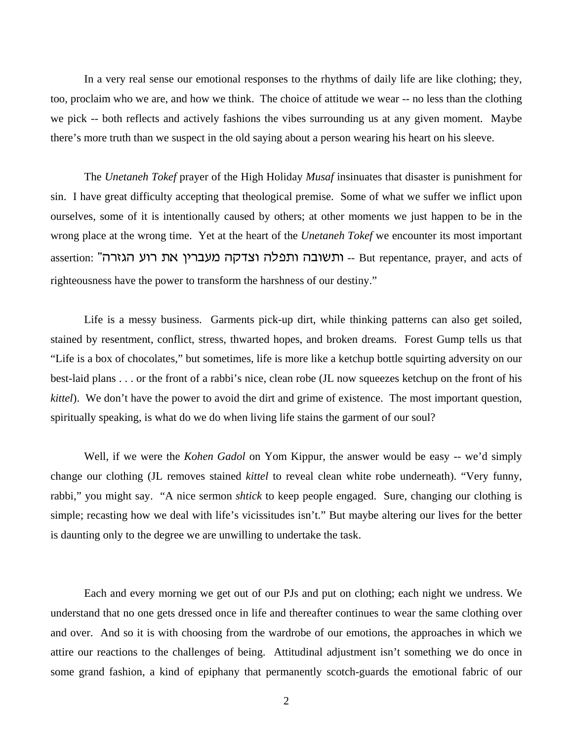In a very real sense our emotional responses to the rhythms of daily life are like clothing; they, too, proclaim who we are, and how we think. The choice of attitude we wear -- no less than the clothing we pick -- both reflects and actively fashions the vibes surrounding us at any given moment. Maybe there's more truth than we suspect in the old saying about a person wearing his heart on his sleeve.

The *Unetaneh Tokef* prayer of the High Holiday *Musaf* insinuates that disaster is punishment for sin. I have great difficulty accepting that theological premise. Some of what we suffer we inflict upon ourselves, some of it is intentionally caused by others; at other moments we just happen to be in the wrong place at the wrong time. Yet at the heart of the *Unetaneh Tokef* we encounter its most important assertion: "העברין את רוע הגזרה -- But repentance, prayer, and acts of righteousness have the power to transform the harshness of our destiny."

Life is a messy business. Garments pick-up dirt, while thinking patterns can also get soiled, stained by resentment, conflict, stress, thwarted hopes, and broken dreams. Forest Gump tells us that "Life is a box of chocolates," but sometimes, life is more like a ketchup bottle squirting adversity on our best-laid plans . . . or the front of a rabbi's nice, clean robe (JL now squeezes ketchup on the front of his *kittel*). We don't have the power to avoid the dirt and grime of existence. The most important question, spiritually speaking, is what do we do when living life stains the garment of our soul?

Well, if we were the *Kohen Gadol* on Yom Kippur, the answer would be easy -- we'd simply change our clothing (JL removes stained *kittel* to reveal clean white robe underneath). "Very funny, rabbi," you might say. "A nice sermon *shtick* to keep people engaged. Sure, changing our clothing is simple; recasting how we deal with life's vicissitudes isn't." But maybe altering our lives for the better is daunting only to the degree we are unwilling to undertake the task.

Each and every morning we get out of our PJs and put on clothing; each night we undress. We understand that no one gets dressed once in life and thereafter continues to wear the same clothing over and over. And so it is with choosing from the wardrobe of our emotions, the approaches in which we attire our reactions to the challenges of being. Attitudinal adjustment isn't something we do once in some grand fashion, a kind of epiphany that permanently scotch-guards the emotional fabric of our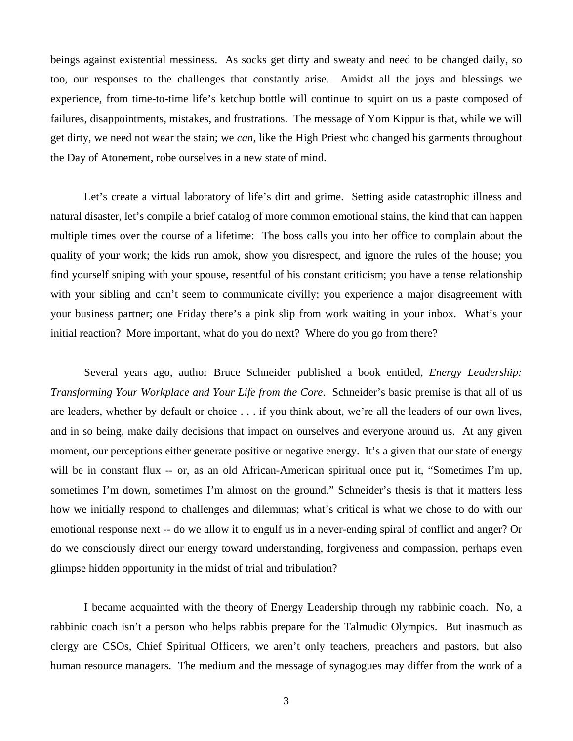beings against existential messiness. As socks get dirty and sweaty and need to be changed daily, so too, our responses to the challenges that constantly arise. Amidst all the joys and blessings we experience, from time-to-time life's ketchup bottle will continue to squirt on us a paste composed of failures, disappointments, mistakes, and frustrations. The message of Yom Kippur is that, while we will get dirty, we need not wear the stain; we *can*, like the High Priest who changed his garments throughout the Day of Atonement, robe ourselves in a new state of mind.

Let's create a virtual laboratory of life's dirt and grime. Setting aside catastrophic illness and natural disaster, let's compile a brief catalog of more common emotional stains, the kind that can happen multiple times over the course of a lifetime: The boss calls you into her office to complain about the quality of your work; the kids run amok, show you disrespect, and ignore the rules of the house; you find yourself sniping with your spouse, resentful of his constant criticism; you have a tense relationship with your sibling and can't seem to communicate civilly; you experience a major disagreement with your business partner; one Friday there's a pink slip from work waiting in your inbox. What's your initial reaction? More important, what do you do next? Where do you go from there?

Several years ago, author Bruce Schneider published a book entitled, *Energy Leadership: Transforming Your Workplace and Your Life from the Core*. Schneider's basic premise is that all of us are leaders, whether by default or choice . . . if you think about, we're all the leaders of our own lives, and in so being, make daily decisions that impact on ourselves and everyone around us. At any given moment, our perceptions either generate positive or negative energy. It's a given that our state of energy will be in constant flux -- or, as an old African-American spiritual once put it, "Sometimes I'm up, sometimes I'm down, sometimes I'm almost on the ground." Schneider's thesis is that it matters less how we initially respond to challenges and dilemmas; what's critical is what we chose to do with our emotional response next -- do we allow it to engulf us in a never-ending spiral of conflict and anger? Or do we consciously direct our energy toward understanding, forgiveness and compassion, perhaps even glimpse hidden opportunity in the midst of trial and tribulation?

I became acquainted with the theory of Energy Leadership through my rabbinic coach. No, a rabbinic coach isn't a person who helps rabbis prepare for the Talmudic Olympics. But inasmuch as clergy are CSOs, Chief Spiritual Officers, we aren't only teachers, preachers and pastors, but also human resource managers. The medium and the message of synagogues may differ from the work of a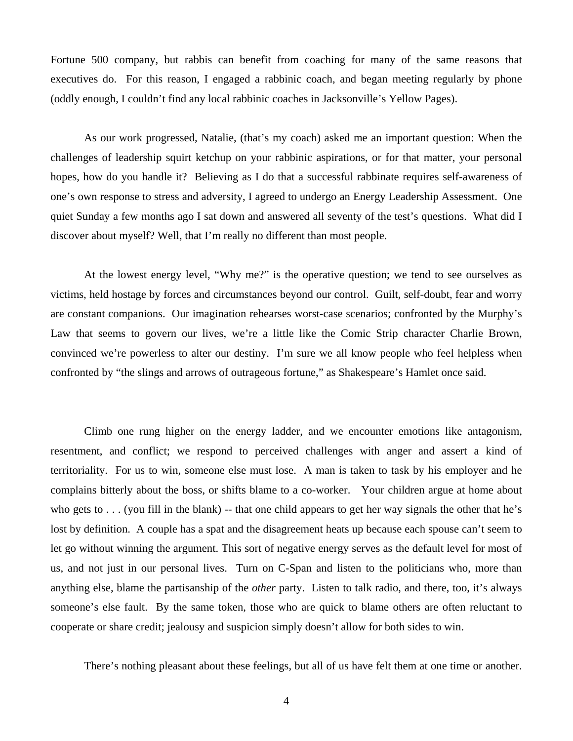Fortune 500 company, but rabbis can benefit from coaching for many of the same reasons that executives do. For this reason, I engaged a rabbinic coach, and began meeting regularly by phone (oddly enough, I couldn't find any local rabbinic coaches in Jacksonville's Yellow Pages).

As our work progressed, Natalie, (that's my coach) asked me an important question: When the challenges of leadership squirt ketchup on your rabbinic aspirations, or for that matter, your personal hopes, how do you handle it? Believing as I do that a successful rabbinate requires self-awareness of one's own response to stress and adversity, I agreed to undergo an Energy Leadership Assessment. One quiet Sunday a few months ago I sat down and answered all seventy of the test's questions. What did I discover about myself? Well, that I'm really no different than most people.

At the lowest energy level, "Why me?" is the operative question; we tend to see ourselves as victims, held hostage by forces and circumstances beyond our control. Guilt, self-doubt, fear and worry are constant companions. Our imagination rehearses worst-case scenarios; confronted by the Murphy's Law that seems to govern our lives, we're a little like the Comic Strip character Charlie Brown, convinced we're powerless to alter our destiny. I'm sure we all know people who feel helpless when confronted by "the slings and arrows of outrageous fortune," as Shakespeare's Hamlet once said.

Climb one rung higher on the energy ladder, and we encounter emotions like antagonism, resentment, and conflict; we respond to perceived challenges with anger and assert a kind of territoriality. For us to win, someone else must lose. A man is taken to task by his employer and he complains bitterly about the boss, or shifts blame to a co-worker. Your children argue at home about who gets to . . . (you fill in the blank) -- that one child appears to get her way signals the other that he's lost by definition. A couple has a spat and the disagreement heats up because each spouse can't seem to let go without winning the argument. This sort of negative energy serves as the default level for most of us, and not just in our personal lives. Turn on C-Span and listen to the politicians who, more than anything else, blame the partisanship of the *other* party. Listen to talk radio, and there, too, it's always someone's else fault. By the same token, those who are quick to blame others are often reluctant to cooperate or share credit; jealousy and suspicion simply doesn't allow for both sides to win.

There's nothing pleasant about these feelings, but all of us have felt them at one time or another.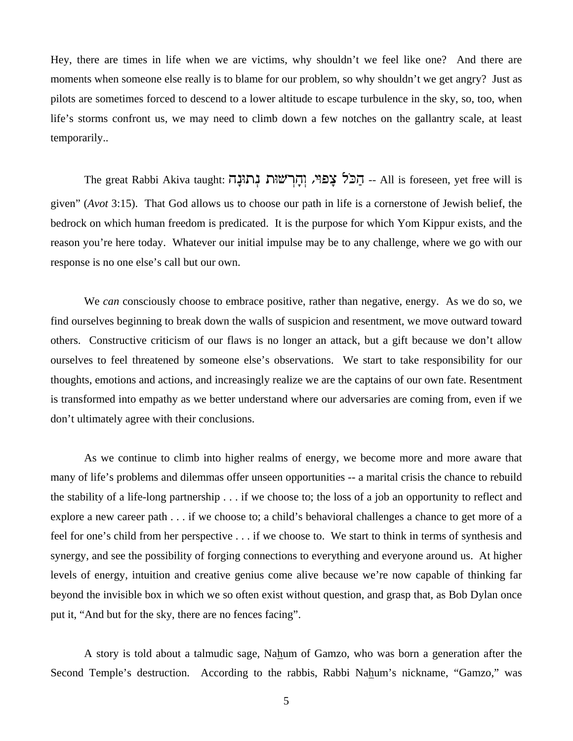Hey, there are times in life when we are victims, why shouldn't we feel like one? And there are moments when someone else really is to blame for our problem, so why shouldn't we get angry? Just as pilots are sometimes forced to descend to a lower altitude to escape turbulence in the sky, so, too, when life's storms confront us, we may need to climb down a few notches on the gallantry scale, at least temporarily..

The great Rabbi Akiva taught: הַכֹּל צָפּױ, וְהָרְשׁוּת נְתוּנָה -- All is foreseen, yet free will is given" (*Avot* 3:15). That God allows us to choose our path in life is a cornerstone of Jewish belief, the bedrock on which human freedom is predicated. It is the purpose for which Yom Kippur exists, and the reason you're here today. Whatever our initial impulse may be to any challenge, where we go with our response is no one else's call but our own.

We *can* consciously choose to embrace positive, rather than negative, energy. As we do so, we find ourselves beginning to break down the walls of suspicion and resentment, we move outward toward others. Constructive criticism of our flaws is no longer an attack, but a gift because we don't allow ourselves to feel threatened by someone else's observations. We start to take responsibility for our thoughts, emotions and actions, and increasingly realize we are the captains of our own fate. Resentment is transformed into empathy as we better understand where our adversaries are coming from, even if we don't ultimately agree with their conclusions.

As we continue to climb into higher realms of energy, we become more and more aware that many of life's problems and dilemmas offer unseen opportunities -- a marital crisis the chance to rebuild the stability of a life-long partnership . . . if we choose to; the loss of a job an opportunity to reflect and explore a new career path . . . if we choose to; a child's behavioral challenges a chance to get more of a feel for one's child from her perspective . . . if we choose to. We start to think in terms of synthesis and synergy, and see the possibility of forging connections to everything and everyone around us. At higher levels of energy, intuition and creative genius come alive because we're now capable of thinking far beyond the invisible box in which we so often exist without question, and grasp that, as Bob Dylan once put it, "And but for the sky, there are no fences facing".

A story is told about a talmudic sage, Nahum of Gamzo, who was born a generation after the Second Temple's destruction. According to the rabbis, Rabbi Nahum's nickname, "Gamzo," was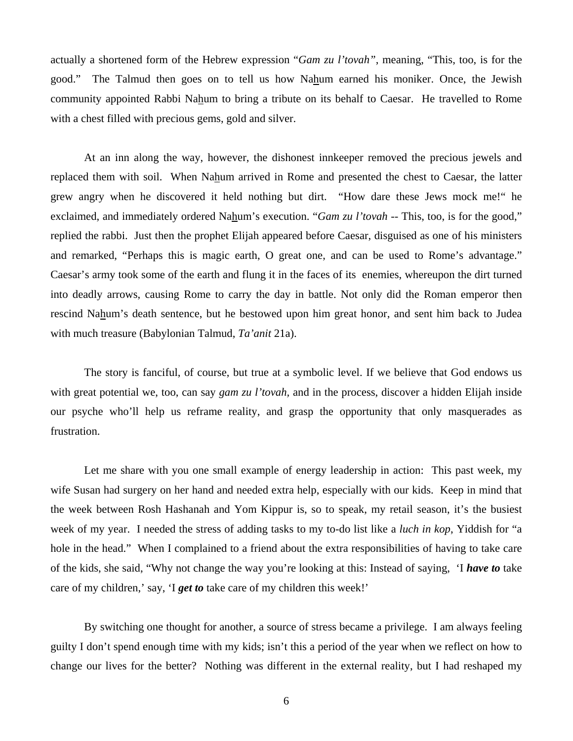actually a shortened form of the Hebrew expression "*Gam zu l'tovah"*, meaning, "This, too, is for the good." The Talmud then goes on to tell us how Nahum earned his moniker. Once, the Jewish community appointed Rabbi Nahum to bring a tribute on its behalf to Caesar. He travelled to Rome with a chest filled with precious gems, gold and silver.

At an inn along the way, however, the dishonest innkeeper removed the precious jewels and replaced them with soil. When Nahum arrived in Rome and presented the chest to Caesar, the latter grew angry when he discovered it held nothing but dirt. "How dare these Jews mock me!" he exclaimed, and immediately ordered Nahum's execution. "*Gam zu l'tovah* -- This, too, is for the good," replied the rabbi. Just then the prophet Elijah appeared before Caesar, disguised as one of his ministers and remarked, "Perhaps this is magic earth, O great one, and can be used to Rome's advantage." Caesar's army took some of the earth and flung it in the faces of its enemies, whereupon the dirt turned into deadly arrows, causing Rome to carry the day in battle. Not only did the Roman emperor then rescind Nahum's death sentence, but he bestowed upon him great honor, and sent him back to Judea with much treasure (Babylonian Talmud, *Ta'anit* 21a).

The story is fanciful, of course, but true at a symbolic level. If we believe that God endows us with great potential we, too, can say *gam zu l'tovah,* and in the process, discover a hidden Elijah inside our psyche who'll help us reframe reality, and grasp the opportunity that only masquerades as frustration.

Let me share with you one small example of energy leadership in action: This past week, my wife Susan had surgery on her hand and needed extra help, especially with our kids. Keep in mind that the week between Rosh Hashanah and Yom Kippur is, so to speak, my retail season, it's the busiest week of my year. I needed the stress of adding tasks to my to-do list like a *luch in kop*, Yiddish for "a hole in the head." When I complained to a friend about the extra responsibilities of having to take care of the kids, she said, "Why not change the way you're looking at this: Instead of saying, 'I *have to* take care of my children,' say, 'I *get to* take care of my children this week!'

By switching one thought for another, a source of stress became a privilege. I am always feeling guilty I don't spend enough time with my kids; isn't this a period of the year when we reflect on how to change our lives for the better? Nothing was different in the external reality, but I had reshaped my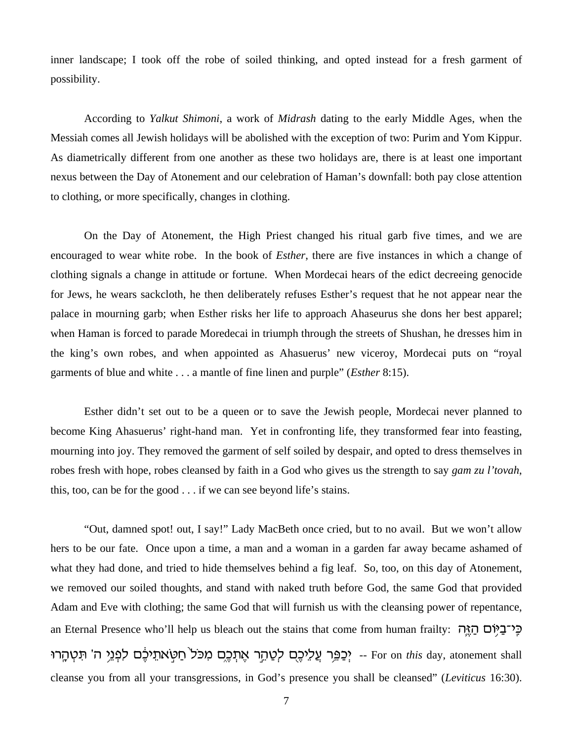inner landscape; I took off the robe of soiled thinking, and opted instead for a fresh garment of possibility.

According to *Yalkut Shimoni*, a work of *Midrash* dating to the early Middle Ages, when the Messiah comes all Jewish holidays will be abolished with the exception of two: Purim and Yom Kippur. As diametrically different from one another as these two holidays are, there is at least one important nexus between the Day of Atonement and our celebration of Haman's downfall: both pay close attention to clothing, or more specifically, changes in clothing.

On the Day of Atonement, the High Priest changed his ritual garb five times, and we are encouraged to wear white robe. In the book of *Esther*, there are five instances in which a change of clothing signals a change in attitude or fortune. When Mordecai hears of the edict decreeing genocide for Jews, he wears sackcloth, he then deliberately refuses Esther's request that he not appear near the palace in mourning garb; when Esther risks her life to approach Ahaseurus she dons her best apparel; when Haman is forced to parade Moredecai in triumph through the streets of Shushan, he dresses him in the king's own robes, and when appointed as Ahasuerus' new viceroy, Mordecai puts on "royal garments of blue and white . . . a mantle of fine linen and purple" (*Esther* 8:15).

Esther didn't set out to be a queen or to save the Jewish people, Mordecai never planned to become King Ahasuerus' right-hand man. Yet in confronting life, they transformed fear into feasting, mourning into joy. They removed the garment of self soiled by despair, and opted to dress themselves in robes fresh with hope, robes cleansed by faith in a God who gives us the strength to say *gam zu l'tovah*, this, too, can be for the good . . . if we can see beyond life's stains.

"Out, damned spot! out, I say!" Lady MacBeth once cried, but to no avail. But we won't allow hers to be our fate. Once upon a time, a man and a woman in a garden far away became ashamed of what they had done, and tried to hide themselves behind a fig leaf. So, too, on this day of Atonement, we removed our soiled thoughts, and stand with naked truth before God, the same God that provided Adam and Eve with clothing; the same God that will furnish us with the cleansing power of repentance, an Eternal Presence who'll help us bleach out the stains that come from human frailty: הֲיוֹם הַאֱה Ur«¨v §y ¦T wv h¬¥b §p¦k o º¤fh ¥,t«Y © ´ j Æk«F ¦n o·¤f §, ¤t r´¥v ©y§k ofh¥k£ ¤ g r¬¥P©f§h -- For on *this* day, atonement shall cleanse you from all your transgressions, in God's presence you shall be cleansed" (*Leviticus* 16:30).